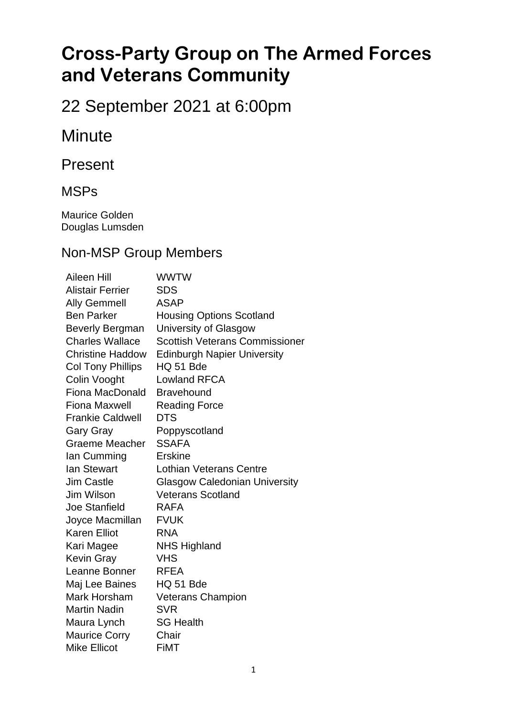# **Cross-Party Group on The Armed Forces and Veterans Community**

## 22 September 2021 at 6:00pm

## **Minute**

Present

#### MSPs

Maurice Golden Douglas Lumsden

#### Non-MSP Group Members

Aileen Hill WWTW Alistair Ferrier SDS Ally Gemmell ASAP Ben Parker Housing Options Scotland Beverly Bergman University of Glasgow Charles Wallace Scottish Veterans Commissioner Christine Haddow Edinburgh Napier University Col Tony Phillips HQ 51 Bde Colin Vooght Lowland RFCA Fiona MacDonald Bravehound Fiona Maxwell Reading Force Frankie Caldwell DTS Gary Gray Poppyscotland Graeme Meacher SSAFA Ian Cumming Erskine Ian Stewart Lothian Veterans Centre Jim Castle Glasgow Caledonian University Jim Wilson Veterans Scotland Joe Stanfield RAFA Joyce Macmillan FVUK Karen Elliot RNA Kari Magee NHS Highland Kevin Gray VHS Leanne Bonner RFEA Maj Lee Baines HQ 51 Bde Mark Horsham Veterans Champion Martin Nadin SVR Maura Lynch SG Health Maurice Corry Chair Mike Ellicot FiMT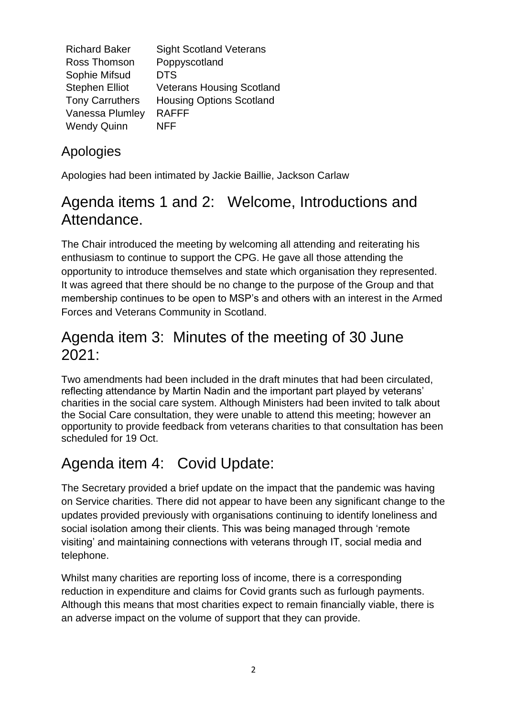| <b>Richard Baker</b>   | <b>Sight Scotland Veterans</b>   |
|------------------------|----------------------------------|
| Ross Thomson           | Poppyscotland                    |
| Sophie Mifsud          | <b>DTS</b>                       |
| <b>Stephen Elliot</b>  | <b>Veterans Housing Scotland</b> |
| <b>Tony Carruthers</b> | <b>Housing Options Scotland</b>  |
| Vanessa Plumley        | <b>RAFFF</b>                     |
| <b>Wendy Quinn</b>     | NFF                              |

### Apologies

Apologies had been intimated by Jackie Baillie, Jackson Carlaw

## Agenda items 1 and 2: Welcome, Introductions and Attendance.

The Chair introduced the meeting by welcoming all attending and reiterating his enthusiasm to continue to support the CPG. He gave all those attending the opportunity to introduce themselves and state which organisation they represented. It was agreed that there should be no change to the purpose of the Group and that membership continues to be open to MSP's and others with an interest in the Armed Forces and Veterans Community in Scotland.

## Agenda item 3: Minutes of the meeting of 30 June 2021:

Two amendments had been included in the draft minutes that had been circulated, reflecting attendance by Martin Nadin and the important part played by veterans' charities in the social care system. Although Ministers had been invited to talk about the Social Care consultation, they were unable to attend this meeting; however an opportunity to provide feedback from veterans charities to that consultation has been scheduled for 19 Oct.

## Agenda item 4: Covid Update:

The Secretary provided a brief update on the impact that the pandemic was having on Service charities. There did not appear to have been any significant change to the updates provided previously with organisations continuing to identify loneliness and social isolation among their clients. This was being managed through 'remote visiting' and maintaining connections with veterans through IT, social media and telephone.

Whilst many charities are reporting loss of income, there is a corresponding reduction in expenditure and claims for Covid grants such as furlough payments. Although this means that most charities expect to remain financially viable, there is an adverse impact on the volume of support that they can provide.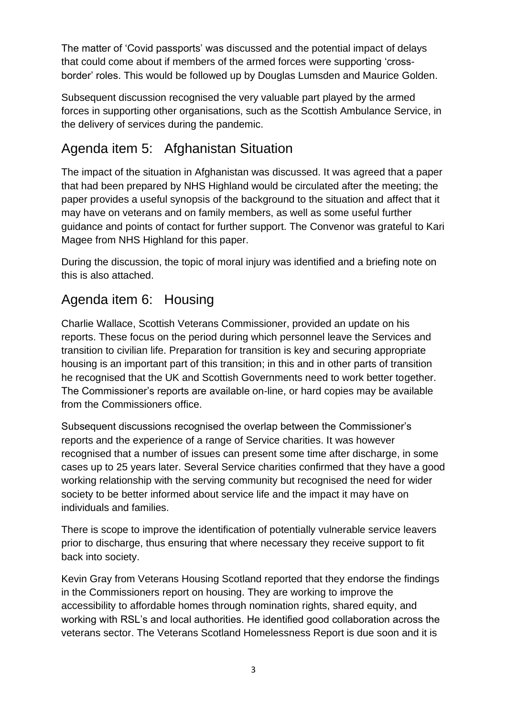The matter of 'Covid passports' was discussed and the potential impact of delays that could come about if members of the armed forces were supporting 'crossborder' roles. This would be followed up by Douglas Lumsden and Maurice Golden.

Subsequent discussion recognised the very valuable part played by the armed forces in supporting other organisations, such as the Scottish Ambulance Service, in the delivery of services during the pandemic.

### Agenda item 5: Afghanistan Situation

The impact of the situation in Afghanistan was discussed. It was agreed that a paper that had been prepared by NHS Highland would be circulated after the meeting; the paper provides a useful synopsis of the background to the situation and affect that it may have on veterans and on family members, as well as some useful further guidance and points of contact for further support. The Convenor was grateful to Kari Magee from NHS Highland for this paper.

During the discussion, the topic of moral injury was identified and a briefing note on this is also attached.

### Agenda item 6: Housing

Charlie Wallace, Scottish Veterans Commissioner, provided an update on his reports. These focus on the period during which personnel leave the Services and transition to civilian life. Preparation for transition is key and securing appropriate housing is an important part of this transition; in this and in other parts of transition he recognised that the UK and Scottish Governments need to work better together. The Commissioner's reports are available on-line, or hard copies may be available from the Commissioners office.

Subsequent discussions recognised the overlap between the Commissioner's reports and the experience of a range of Service charities. It was however recognised that a number of issues can present some time after discharge, in some cases up to 25 years later. Several Service charities confirmed that they have a good working relationship with the serving community but recognised the need for wider society to be better informed about service life and the impact it may have on individuals and families.

There is scope to improve the identification of potentially vulnerable service leavers prior to discharge, thus ensuring that where necessary they receive support to fit back into society.

Kevin Gray from Veterans Housing Scotland reported that they endorse the findings in the Commissioners report on housing. They are working to improve the accessibility to affordable homes through nomination rights, shared equity, and working with RSL's and local authorities. He identified good collaboration across the veterans sector. The Veterans Scotland Homelessness Report is due soon and it is